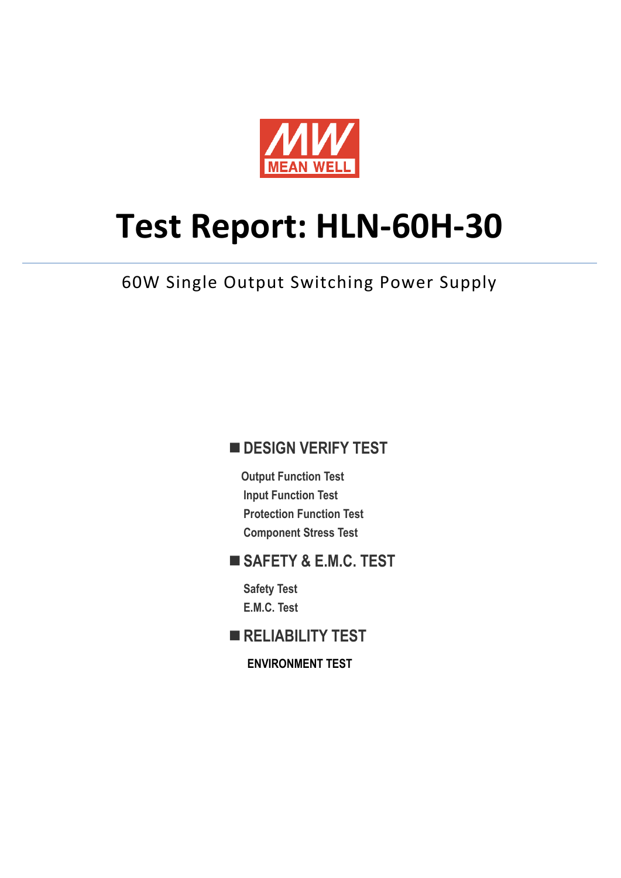

# **Test Report: HLN-60H-30**

# 60W Single Output Switching Power Supply

## **DESIGN VERIFY TEST**

**Output Function Test Input Function Test Protection Function Test Component Stress Test** 

## **SAFETY & E.M.C. TEST**

**Safety Test E.M.C. Test** 

**RELIABILITY TEST** 

**ENVIRONMENT TEST**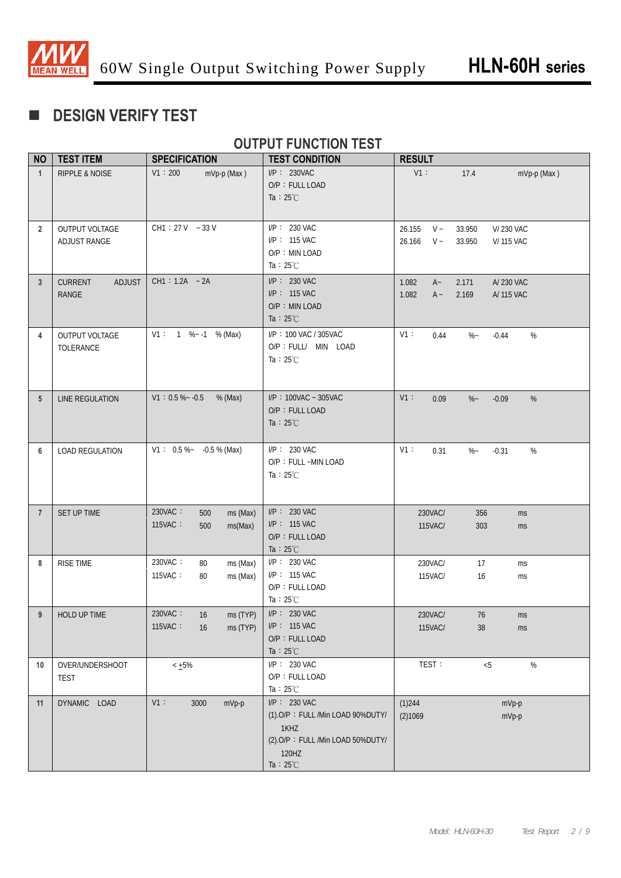

# **DESIGN VERIFY TEST**

## **OUTPUT FUNCTION TEST**

| <b>NO</b>       | <b>TEST ITEM</b>                                | <b>SPECIFICATION</b>                                    | <b>TEST CONDITION</b>                                                                                                        | <b>RESULT</b>                         |                                                    |
|-----------------|-------------------------------------------------|---------------------------------------------------------|------------------------------------------------------------------------------------------------------------------------------|---------------------------------------|----------------------------------------------------|
| $\mathbf{1}$    | <b>RIPPLE &amp; NOISE</b>                       | V1:200<br>mVp-p (Max)                                   | $I/P$ : 230VAC<br>O/P: FULL LOAD<br>Ta : $25^{\circ}$ C                                                                      | $V1$ :                                | 17.4<br>mVp-p (Max)                                |
| $\overline{2}$  | OUTPUT VOLTAGE<br>ADJUST RANGE                  | $CH1: 27V - 33V$                                        | $I/P$ : 230 VAC<br>I/P: 115 VAC<br>O/P: MIN LOAD<br>Ta : $25^{\circ}$ C                                                      | $V \sim$<br>26.155<br>26.166<br>$V -$ | V/ 230 VAC<br>33.950<br>33.950<br><b>V/115 VAC</b> |
| 3               | <b>CURRENT</b><br><b>ADJUST</b><br><b>RANGE</b> | $CH1: 1.2A - 2A$                                        | $I/P: 230$ VAC<br>$I/P$ : 115 VAC<br>O/P: MIN LOAD<br>Ta : $25^{\circ}$ C                                                    | 1.082<br>$A -$<br>1.082<br>$A -$      | A/ 230 VAC<br>2.171<br>2.169<br>A/ 115 VAC         |
| 4               | OUTPUT VOLTAGE<br>TOLERANCE                     | $V1: 1 % -1 % -1 % -1 $ % (Max)                         | I/P: 100 VAC / 305VAC<br>O/P : FULL/ MIN LOAD<br>Ta : $25^{\circ}$ C                                                         | V1:<br>0.44                           | $\%$ –<br>$\%$<br>$-0.44$                          |
| $5\phantom{.0}$ | LINE REGULATION                                 | $V1: 0.5 % ~ -0.5$<br>$%$ (Max)                         | $I/P$ : 100VAC ~ 305VAC<br>O/P: FULL LOAD<br>Ta : $25^{\circ}$ C                                                             | V1:<br>0.09                           | %<br>$\%$ ~<br>$-0.09$                             |
| 6               | <b>LOAD REGULATION</b>                          | $V1: 0.5\%~ -0.5\%$ (Max)                               | $I/P$ : 230 VAC<br>O/P: FULL ~MIN LOAD<br>Ta : $25^{\circ}$ C                                                                | V1:<br>0.31                           | $\%$ ~<br>$-0.31$<br>%                             |
| $\overline{7}$  | SET UP TIME                                     | 230VAC:<br>ms (Max)<br>500<br>115VAC:<br>ms(Max)<br>500 | $I/P$ : 230 VAC<br>$I/P$ : 115 VAC<br>O/P: FULL LOAD<br>Ta : $25^{\circ}$ C                                                  | 230VAC/<br>115VAC/                    | 356<br>ms<br>303<br>ms                             |
| 8               | RISE TIME                                       | 230VAC:<br>ms (Max)<br>80<br>115VAC:<br>ms (Max)<br>80  | $I/P$ : 230 VAC<br>$I/P$ : 115 VAC<br>O/P: FULL LOAD<br>Ta : $25^{\circ}$ C                                                  | 230VAC/<br>115VAC/                    | 17<br>ms<br>16<br>ms                               |
| 9               | HOLD UP TIME                                    | 230VAC:<br>16<br>ms (TYP)<br>115VAC:<br>16<br>ms (TYP)  | $I/P: 230$ VAC<br>I/P: 115 VAC<br>O/P: FULL LOAD<br>Ta : $25^{\circ}$ C                                                      | 230VAC/<br>115VAC/                    | 76<br>ms<br>38<br>ms                               |
| 10              | OVER/UNDERSHOOT<br><b>TEST</b>                  | $< +5\%$                                                | $I/P$ : 230 VAC<br>O/P: FULL LOAD<br>Ta : $25^{\circ}$ C                                                                     | TEST:                                 | $\%$<br>< 5                                        |
| 11              | DYNAMIC LOAD                                    | V1:<br>3000<br>mVp-p                                    | I/P: 230 VAC<br>(1).O/P: FULL /Min LOAD 90%DUTY/<br>1KHZ<br>(2).O/P: FULL /Min LOAD 50%DUTY/<br>120HZ<br>Ta : $25^{\circ}$ C | $(1)$ 244<br>(2)1069                  | $mVp-p$<br>$mVp-p$                                 |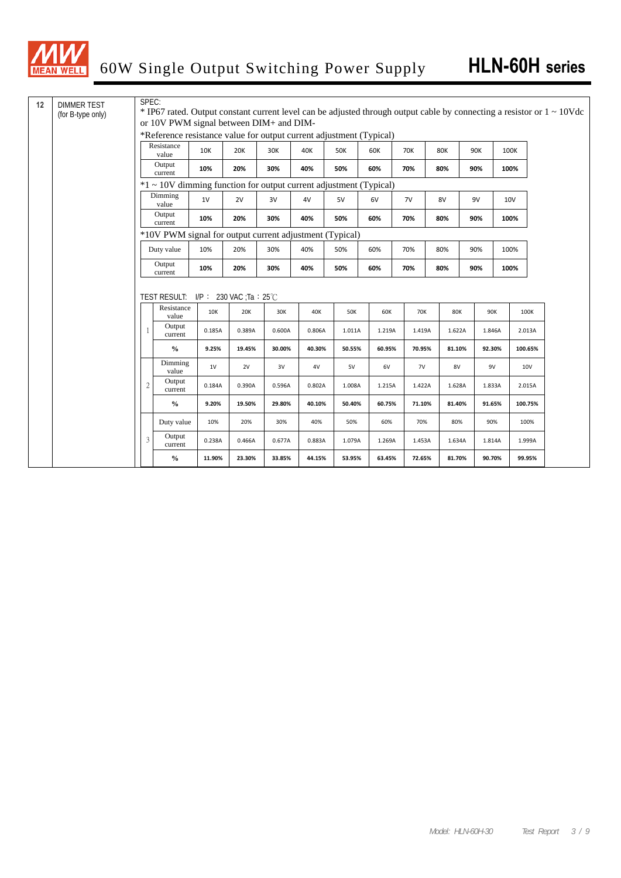

| 12 | <b>DIMMER TEST</b><br>(for B-type only) | SPEC:                                                                                                          |                                                                   |        |                          |        |        |            |        |  |        |            |        |      | * IP67 rated. Output constant current level can be adjusted through output cable by connecting a resistor or $1 \sim 10V$ dc |
|----|-----------------------------------------|----------------------------------------------------------------------------------------------------------------|-------------------------------------------------------------------|--------|--------------------------|--------|--------|------------|--------|--|--------|------------|--------|------|------------------------------------------------------------------------------------------------------------------------------|
|    |                                         | or 10V PWM signal between DIM+ and DIM-<br>*Reference resistance value for output current adjustment (Typical) |                                                                   |        |                          |        |        |            |        |  |        |            |        |      |                                                                                                                              |
|    |                                         |                                                                                                                | Resistance                                                        |        |                          |        |        |            |        |  |        |            |        |      |                                                                                                                              |
|    |                                         |                                                                                                                | value                                                             | 10K    | 20K                      | 30K    | 40K    | 50K        | 60K    |  | 70K    | <b>80K</b> | 90K    | 100K |                                                                                                                              |
|    |                                         |                                                                                                                | Output<br>current                                                 | 10%    | 20%                      | 30%    | 40%    | 50%        | 60%    |  | 70%    | 80%        | 90%    | 100% |                                                                                                                              |
|    |                                         |                                                                                                                | *1 ~ 10V dimming function for output current adjustment (Typical) |        |                          |        |        |            |        |  |        |            |        |      |                                                                                                                              |
|    |                                         |                                                                                                                | Dimming<br>value                                                  | 1V     | 2V                       | 3V     | 4V     | 5V         | 6V     |  | 7V     | 8V         | 9V     | 10V  |                                                                                                                              |
|    |                                         |                                                                                                                | Output<br>current                                                 | 10%    | 20%                      | 30%    | 40%    | 50%        | 60%    |  | 70%    | 80%        | 90%    | 100% |                                                                                                                              |
|    |                                         |                                                                                                                | *10V PWM signal for output current adjustment (Typical)           |        |                          |        |        |            |        |  |        |            |        |      |                                                                                                                              |
|    |                                         |                                                                                                                | Duty value                                                        | 10%    | 20%                      | 30%    | 40%    | 50%        | 60%    |  | 70%    | 80%        | 90%    | 100% |                                                                                                                              |
|    |                                         |                                                                                                                | Output<br>current                                                 | 10%    | 20%                      | 30%    | 40%    | 50%        | 60%    |  | 70%    | 80%        | 90%    | 100% |                                                                                                                              |
|    |                                         |                                                                                                                |                                                                   |        |                          |        |        |            |        |  |        |            |        |      |                                                                                                                              |
|    |                                         |                                                                                                                | <b>TEST RESULT:</b>                                               |        | $IP: 230$ VAC ;Ta : 25°C |        |        |            |        |  |        |            |        |      |                                                                                                                              |
|    |                                         |                                                                                                                | Resistance<br>value                                               | 10K    | 20K                      | 30K    | 40K    | <b>50K</b> | 60K    |  | 70K    | <b>80K</b> | 90K    |      | 100K                                                                                                                         |
|    |                                         | 1                                                                                                              | Output<br>current                                                 | 0.185A | 0.389A                   | 0.600A | 0.806A | 1.011A     | 1.219A |  | 1.419A | 1.622A     | 1.846A |      | 2.013A                                                                                                                       |
|    |                                         |                                                                                                                | $\frac{6}{9}$                                                     | 9.25%  | 19.45%                   | 30.00% | 40.30% | 50.55%     | 60.95% |  | 70.95% | 81.10%     | 92.30% |      | 100.65%                                                                                                                      |
|    |                                         |                                                                                                                | Dimming<br>value                                                  | 1V     | 2V                       | 3V     | 4V     | 5V         | 6V     |  | 7V     | 8V         | 9V     |      | 10V                                                                                                                          |
|    |                                         | $\mathfrak{2}$                                                                                                 | Output<br>current                                                 | 0.184A | 0.390A                   | 0.596A | 0.802A | 1.008A     | 1.215A |  | 1.422A | 1.628A     | 1.833A |      | 2.015A                                                                                                                       |
|    |                                         |                                                                                                                | $\frac{6}{9}$                                                     | 9.20%  | 19.50%                   | 29.80% | 40.10% | 50.40%     | 60.75% |  | 71.10% | 81.40%     | 91.65% |      | 100.75%                                                                                                                      |
|    |                                         |                                                                                                                | Duty value                                                        | 10%    | 20%                      | 30%    | 40%    | 50%        | 60%    |  | 70%    | 80%        | 90%    |      | 100%                                                                                                                         |
|    |                                         | 3                                                                                                              | Output<br>current                                                 | 0.238A | 0.466A                   | 0.677A | 0.883A | 1.079A     | 1.269A |  | 1.453A | 1.634A     | 1.814A |      | 1.999A                                                                                                                       |
|    |                                         |                                                                                                                | $\frac{6}{9}$                                                     | 11.90% | 23.30%                   | 33.85% | 44.15% | 53.95%     | 63.45% |  | 72.65% | 81.70%     | 90.70% |      | 99.95%                                                                                                                       |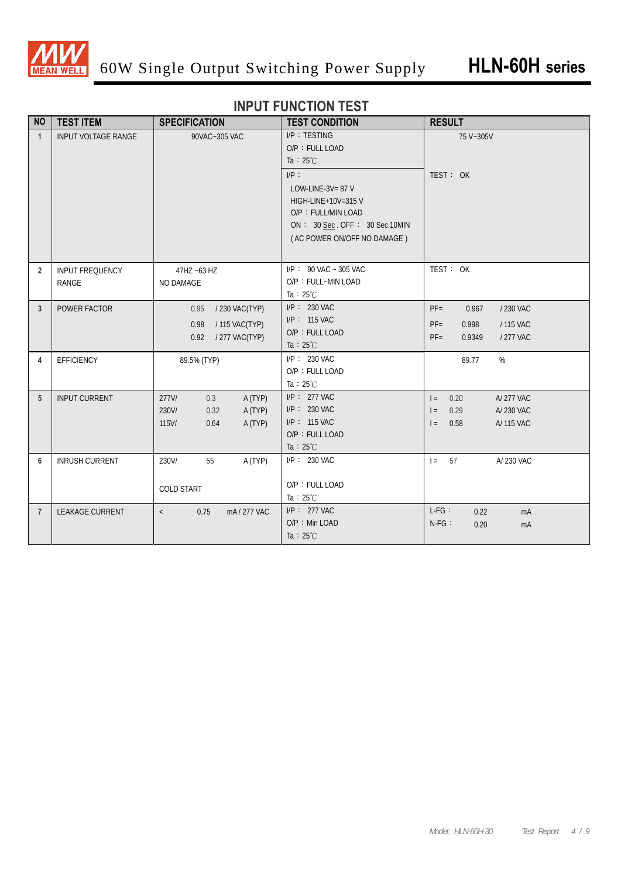

## **INPUT FUNCTION TEST**

| <b>NO</b>       | <b>TEST ITEM</b>                       | <b>SPECIFICATION</b>                                                                  | <b>TEST CONDITION</b>                                                                                                                       | <b>RESULT</b>                                                                                |
|-----------------|----------------------------------------|---------------------------------------------------------------------------------------|---------------------------------------------------------------------------------------------------------------------------------------------|----------------------------------------------------------------------------------------------|
| $\mathbf{1}$    | <b>INPUT VOLTAGE RANGE</b>             | 90VAC~305 VAC                                                                         | I/P: TESTING<br>O/P: FULL LOAD<br>Ta : $25^{\circ}$ C                                                                                       | 75 V~305V                                                                                    |
|                 |                                        |                                                                                       | $I/P$ :<br>LOW-LINE-3V= $87$ V<br>HIGH-LINE+10V=315 V<br>O/P: FULL/MIN LOAD<br>ON: 30 Sec. OFF: 30 Sec 10MIN<br>(AC POWER ON/OFF NO DAMAGE) | TEST: OK                                                                                     |
| $\overline{2}$  | <b>INPUT FREQUENCY</b><br><b>RANGE</b> | 47HZ ~63 HZ<br>NO DAMAGE                                                              | $I/P$ : 90 VAC ~ 305 VAC<br>O/P: FULL~MIN LOAD<br>Ta : $25^{\circ}$ C                                                                       | TEST: OK                                                                                     |
| $\mathbf{3}$    | POWER FACTOR                           | / 230 VAC(TYP)<br>0.95<br>/ 115 VAC(TYP)<br>0.98<br>/277 VAC(TYP)<br>0.92             | $I/P$ : 230 VAC<br>I/P: 115 VAC<br>O/P: FULL LOAD<br>Ta : $25^{\circ}$ C                                                                    | $PF =$<br>0.967<br>/ 230 VAC<br>/ 115 VAC<br>$PF=$<br>0.998<br>$PF =$<br>0.9349<br>/ 277 VAC |
| 4               | <b>EFFICIENCY</b>                      | 89.5% (TYP)                                                                           | $I/P$ : 230 VAC<br>O/P: FULL LOAD<br>Ta : $25^{\circ}$ C                                                                                    | %<br>89.77                                                                                   |
| 5               | <b>INPUT CURRENT</b>                   | $277$ V/<br>A (TYP)<br>0.3<br>A (TYP)<br>230V/<br>0.32<br>A (TYP)<br>$115$ V/<br>0.64 | $I/P$ : 277 VAC<br>$I/P$ : 230 VAC<br>I/P: 115 VAC<br>O/P: FULL LOAD<br>Ta : $25^{\circ}$ C                                                 | $=$<br>0.20<br>A/277 VAC<br>A/ 230 VAC<br>0.29<br>$=$<br>0.58<br>A/ 115 VAC<br>$=$           |
| $6\phantom{1}6$ | <b>INRUSH CURRENT</b>                  | A (TYP)<br>230V/<br>55<br><b>COLD START</b>                                           | I/P: 230 VAC<br>O/P: FULL LOAD<br>Ta : $25^{\circ}$ C                                                                                       | $I = 57$<br>A/ 230 VAC                                                                       |
| $\overline{7}$  | <b>LEAKAGE CURRENT</b>                 | 0.75<br>mA/277 VAC<br>$\langle$                                                       | $I/P$ : 277 VAC<br>O/P: Min LOAD<br>Ta : $25^{\circ}$ C                                                                                     | $L-FG$ :<br>0.22<br>mA<br>$N-FG$ :<br>0.20<br>mA                                             |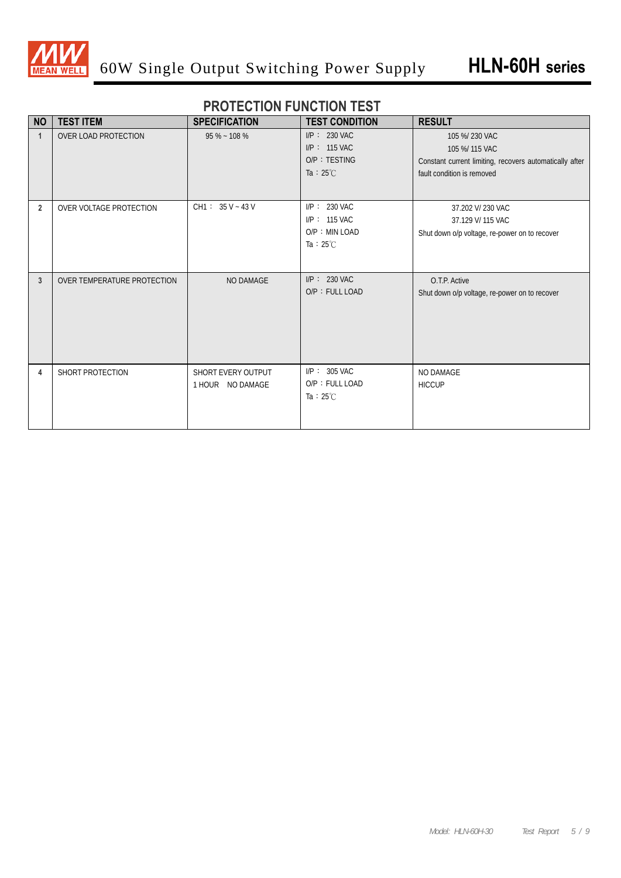

#### **PROTECTION FUNCTION TEST**

| <b>NO</b>      | <b>TEST ITEM</b>            | <b>SPECIFICATION</b> | <b>TEST CONDITION</b> | <b>RESULT</b>                                           |
|----------------|-----------------------------|----------------------|-----------------------|---------------------------------------------------------|
|                | OVER LOAD PROTECTION        | $95\% - 108\%$       | $I/P$ : 230 VAC       | 105 %/ 230 VAC                                          |
|                |                             |                      | $I/P$ : 115 VAC       | 105 %/ 115 VAC                                          |
|                |                             |                      | O/P: TESTING          | Constant current limiting, recovers automatically after |
|                |                             |                      | Ta : $25^{\circ}$ C   | fault condition is removed                              |
|                |                             |                      |                       |                                                         |
| $\overline{2}$ | OVER VOLTAGE PROTECTION     | $CH1: 35 V - 43 V$   | $I/P$ : 230 VAC       | 37.202 V/ 230 VAC                                       |
|                |                             |                      | $I/P$ : 115 VAC       | 37.129 V/ 115 VAC                                       |
|                |                             |                      | O/P: MIN LOAD         | Shut down o/p voltage, re-power on to recover           |
|                |                             |                      | Ta : $25^{\circ}$ C   |                                                         |
|                |                             |                      |                       |                                                         |
|                |                             |                      |                       |                                                         |
| 3              | OVER TEMPERATURE PROTECTION | NO DAMAGE            | $I/P$ : 230 VAC       | O.T.P. Active                                           |
|                |                             |                      | O/P: FULL LOAD        | Shut down o/p voltage, re-power on to recover           |
|                |                             |                      |                       |                                                         |
|                |                             |                      |                       |                                                         |
|                |                             |                      |                       |                                                         |
|                |                             |                      |                       |                                                         |
|                |                             |                      |                       |                                                         |
| 4              | SHORT PROTECTION            | SHORT EVERY OUTPUT   | $I/P$ : 305 VAC       | NO DAMAGE                                               |
|                |                             | 1 HOUR NO DAMAGE     | O/P: FULL LOAD        | <b>HICCUP</b>                                           |
|                |                             |                      | Ta : $25^{\circ}$ C   |                                                         |
|                |                             |                      |                       |                                                         |
|                |                             |                      |                       |                                                         |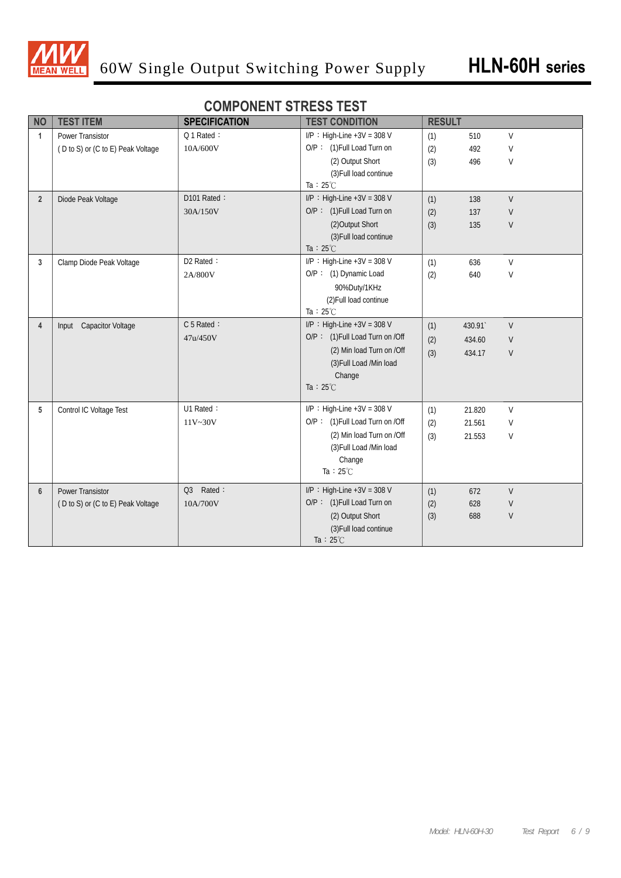

#### **COMPONENT STRESS TEST**

| <b>NO</b>        | <b>TEST ITEM</b>                  | <b>SPECIFICATION</b> | <b>TEST CONDITION</b>           | <b>RESULT</b> |        |              |
|------------------|-----------------------------------|----------------------|---------------------------------|---------------|--------|--------------|
| $\mathbf{1}$     | Power Transistor                  | Q 1 Rated:           | I/P : High-Line $+3V = 308 V$   | (1)           | 510    | $\vee$       |
|                  | (D to S) or (C to E) Peak Voltage | 10A/600V             | O/P: (1) Full Load Turn on      | (2)           | 492    | V            |
|                  |                                   |                      | (2) Output Short                | (3)           | 496    | V            |
|                  |                                   |                      | (3) Full load continue          |               |        |              |
|                  |                                   |                      | Ta : $25^{\circ}$ C             |               |        |              |
| $\overline{2}$   | Diode Peak Voltage                | D101 Rated:          | I/P : High-Line $+3V = 308$ V   | (1)           | 138    | $\mathsf{V}$ |
|                  |                                   | 30A/150V             | O/P: (1) Full Load Turn on      | (2)           | 137    | V            |
|                  |                                   |                      | (2) Output Short                | (3)           | 135    | $\mathsf{V}$ |
|                  |                                   |                      | (3) Full load continue          |               |        |              |
|                  |                                   |                      | Ta : $25^{\circ}$ C             |               |        |              |
| 3                | Clamp Diode Peak Voltage          | D2 Rated:            | I/P : High-Line $+3V = 308 V$   | (1)           | 636    | V            |
|                  |                                   | 2A/800V              | O/P: (1) Dynamic Load           | (2)           | 640    | V            |
|                  |                                   |                      | 90%Duty/1KHz                    |               |        |              |
|                  |                                   |                      | (2) Full load continue          |               |        |              |
|                  |                                   |                      | Ta : $25^{\circ}$ C             |               |        |              |
| $\overline{4}$   | Input Capacitor Voltage           | C 5 Rated:           | $I/P$ : High-Line +3V = 308 V   | (1)           | 430.91 | V            |
|                  |                                   | 47u/450V             | O/P: (1) Full Load Turn on /Off | (2)           | 434.60 | V            |
|                  |                                   |                      | (2) Min load Turn on /Off       | (3)           | 434.17 | V            |
|                  |                                   |                      | (3) Full Load /Min load         |               |        |              |
|                  |                                   |                      | Change                          |               |        |              |
|                  |                                   |                      | Ta : $25^{\circ}$ C             |               |        |              |
| 5                | Control IC Voltage Test           | U1 Rated:            | $I/P$ : High-Line +3V = 308 V   | (1)           | 21.820 | V            |
|                  |                                   | 11V~30V              | O/P: (1) Full Load Turn on /Off | (2)           | 21.561 | V            |
|                  |                                   |                      | (2) Min load Turn on /Off       | (3)           | 21.553 | V            |
|                  |                                   |                      | (3) Full Load /Min load         |               |        |              |
|                  |                                   |                      | Change                          |               |        |              |
|                  |                                   |                      | Ta: $25^{\circ}$ C              |               |        |              |
| $\boldsymbol{6}$ | Power Transistor                  | Q3 Rated:            | $I/P$ : High-Line +3V = 308 V   | (1)           | 672    | $\mathsf{V}$ |
|                  | (D to S) or (C to E) Peak Voltage | 10A/700V             | O/P: (1) Full Load Turn on      | (2)           | 628    | V            |
|                  |                                   |                      | (2) Output Short                | (3)           | 688    | V            |
|                  |                                   |                      | (3) Full load continue          |               |        |              |
|                  |                                   |                      | Ta : $25^{\circ}$ C             |               |        |              |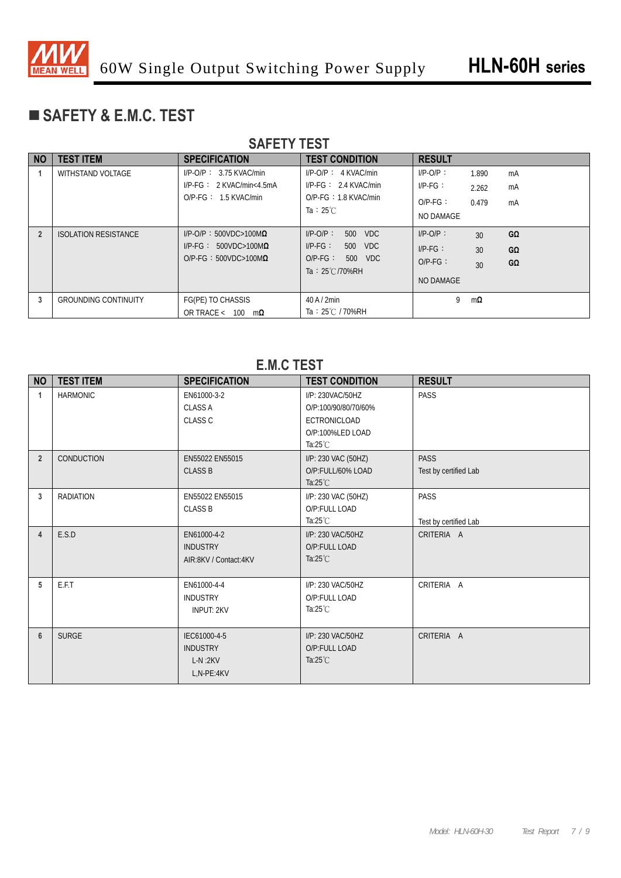

# **SAFETY & E.M.C. TEST**

|                | <b>SAFEIT IESI</b>          |                                                                                                |                                                                                                                |                                                                                                                     |  |  |  |  |  |  |
|----------------|-----------------------------|------------------------------------------------------------------------------------------------|----------------------------------------------------------------------------------------------------------------|---------------------------------------------------------------------------------------------------------------------|--|--|--|--|--|--|
| <b>NO</b>      | <b>TEST ITEM</b>            | <b>SPECIFICATION</b>                                                                           | <b>TEST CONDITION</b>                                                                                          | <b>RESULT</b>                                                                                                       |  |  |  |  |  |  |
|                | <b>WITHSTAND VOLTAGE</b>    | $I/P$ -O/P: 3.75 KVAC/min<br>$I/P\text{-}FG: 2$ KVAC/min<4.5mA<br>$O/P-FG: 1.5$ KVAC/min       | $I/P-O/P$ : 4 KVAC/min<br>$I/P-FG: 2.4$ KVAC/min<br>$O/P-FG: 1.8$ KVAC/min<br>Ta: $25^{\circ}$ C               | $I/P-O/P$ :<br>1.890<br>mA<br>$I/P-FG$ :<br>mA<br>2.262<br>$O/P-FG$ :<br>0.479<br>mA<br>NO DAMAGE                   |  |  |  |  |  |  |
| $\overline{2}$ | <b>ISOLATION RESISTANCE</b> | $I/P$ -O/P: 500VDC>100M $\Omega$<br>$I/P-FG: 500VDC>100M\Omega$<br>$O/P-FG: 500VDC>100M\Omega$ | $I/P-O/P$ :<br><b>VDC</b><br>500<br>$I/P-FG$ :<br>500 VDC<br>$O/P-FG$ :<br>500 VDC<br>Ta: $25^{\circ}$ C/70%RH | $I/P-O/P$ :<br>$G\Omega$<br>30 <sup>2</sup><br>$I/P-FG$ :<br>GΩ<br>30<br>$O/P-FG$ :<br>$G\Omega$<br>30<br>NO DAMAGE |  |  |  |  |  |  |
| 3              | <b>GROUNDING CONTINUITY</b> | FG(PE) TO CHASSIS<br>OR TRACE < $100 \text{ m}\Omega$                                          | 40A/2min<br>Ta: 25℃ / 70%RH                                                                                    | 9<br>$m\Omega$                                                                                                      |  |  |  |  |  |  |

#### **SAFETY TEST**

#### **E.M.C TEST**

| <b>NO</b>      | <b>TEST ITEM</b>  | <b>SPECIFICATION</b>                                       | <b>TEST CONDITION</b>                                                                              | <b>RESULT</b>                        |
|----------------|-------------------|------------------------------------------------------------|----------------------------------------------------------------------------------------------------|--------------------------------------|
| 1              | <b>HARMONIC</b>   | EN61000-3-2<br><b>CLASS A</b><br><b>CLASS C</b>            | I/P: 230VAC/50HZ<br>O/P:100/90/80/70/60%<br>ECTRONICLOAD<br>O/P:100%LED LOAD<br>Ta: $25^{\circ}$ C | PASS                                 |
| $\overline{2}$ | <b>CONDUCTION</b> | EN55022 EN55015<br><b>CLASS B</b>                          | I/P: 230 VAC (50HZ)<br>O/P:FULL/60% LOAD<br>Ta: $25^{\circ}$ C                                     | <b>PASS</b><br>Test by certified Lab |
| 3              | <b>RADIATION</b>  | EN55022 EN55015<br><b>CLASS B</b>                          | I/P: 230 VAC (50HZ)<br>O/P:FULL LOAD<br>Ta: $25^{\circ}$ C                                         | <b>PASS</b><br>Test by certified Lab |
| $\overline{4}$ | E.S.D             | EN61000-4-2<br><b>INDUSTRY</b><br>AIR:8KV / Contact:4KV    | I/P: 230 VAC/50HZ<br>O/P:FULL LOAD<br>Ta: $25^{\circ}$ C                                           | CRITERIA A                           |
| 5              | E.F.T             | EN61000-4-4<br><b>INDUSTRY</b><br><b>INPUT: 2KV</b>        | I/P: 230 VAC/50HZ<br>O/P:FULL LOAD<br>Ta: $25^{\circ}$ C                                           | CRITERIA A                           |
| $6\phantom{1}$ | <b>SURGE</b>      | IEC61000-4-5<br><b>INDUSTRY</b><br>$L-N:2KV$<br>L,N-PE:4KV | I/P: 230 VAC/50HZ<br>O/P:FULL LOAD<br>Ta: $25^{\circ}$ C                                           | CRITERIA A                           |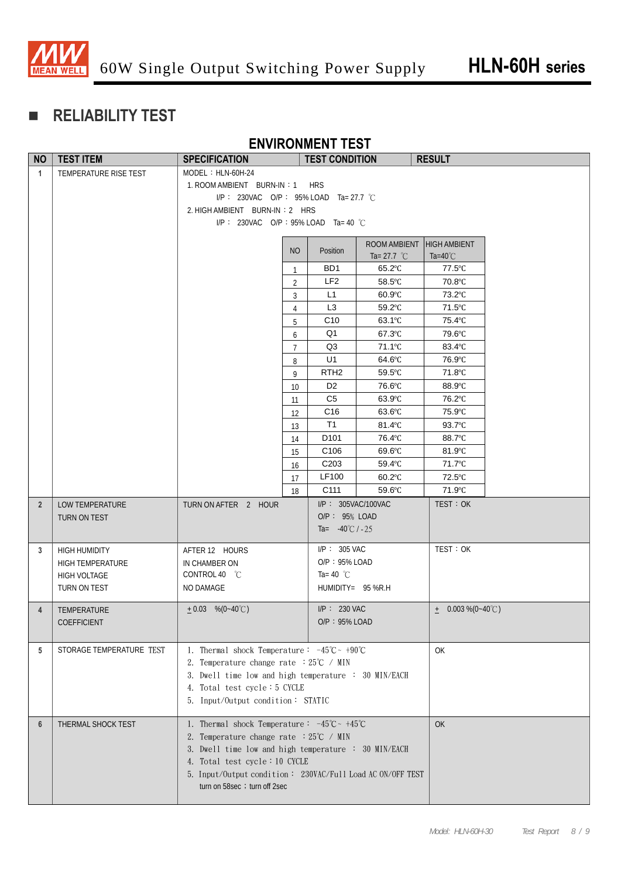

# **RELIABILITY TEST**

#### **ENVIRONMENT TEST**

| <b>NO</b>      | <b>TEST ITEM</b>         | <b>SPECIFICATION</b>                                                                                                               |                | <b>TEST CONDITION</b>       |                  | <b>RESULT</b>           |  |  |  |
|----------------|--------------------------|------------------------------------------------------------------------------------------------------------------------------------|----------------|-----------------------------|------------------|-------------------------|--|--|--|
| $\mathbf{1}$   | TEMPERATURE RISE TEST    | $MODEL : HLN-60H-24$                                                                                                               |                |                             |                  |                         |  |  |  |
|                |                          | 1. ROOM AMBIENT BURN-IN: 1<br><b>HRS</b>                                                                                           |                |                             |                  |                         |  |  |  |
|                |                          | I/P: 230VAC O/P: 95% LOAD Ta= 27.7 °C                                                                                              |                |                             |                  |                         |  |  |  |
|                |                          | 2. HIGH AMBIENT BURN-IN: 2 HRS                                                                                                     |                |                             |                  |                         |  |  |  |
|                |                          | I/P: 230VAC O/P: 95% LOAD Ta= 40 °C                                                                                                |                |                             |                  |                         |  |  |  |
|                |                          |                                                                                                                                    |                |                             | ROOM AMBIENT     | <b>HIGH AMBIENT</b>     |  |  |  |
|                |                          |                                                                                                                                    | <b>NO</b>      | Position                    | Ta= 27.7 $°C$    | Ta=40 $\degree$ C       |  |  |  |
|                |                          |                                                                                                                                    | 1              | BD1                         | $65.2^{\circ}$ C | $77.5^{\circ}$ C        |  |  |  |
|                |                          |                                                                                                                                    | $\overline{2}$ | LF <sub>2</sub>             | $58.5^{\circ}$ C | 70.8°C                  |  |  |  |
|                |                          |                                                                                                                                    | 3              | L1                          | $60.9^{\circ}C$  | 73.2°C                  |  |  |  |
|                |                          |                                                                                                                                    | 4              | L <sub>3</sub>              | 59.2°C           | $71.5^{\circ}$ C        |  |  |  |
|                |                          |                                                                                                                                    | 5              | C10                         | 63.1°C           | 75.4°C                  |  |  |  |
|                |                          |                                                                                                                                    | 6              | Q1                          | 67.3°C           | 79.6°C                  |  |  |  |
|                |                          |                                                                                                                                    | 7              | Q3                          | 71.1°C           | 83.4°C                  |  |  |  |
|                |                          |                                                                                                                                    | 8              | U1                          | $64.6^{\circ}$ C | 76.9°C                  |  |  |  |
|                |                          |                                                                                                                                    | 9              | RTH <sub>2</sub>            | $59.5^{\circ}$ C | 71.8°C                  |  |  |  |
|                |                          |                                                                                                                                    | 10             | D <sub>2</sub>              | 76.6°C           | 88.9°C                  |  |  |  |
|                |                          |                                                                                                                                    | 11             | C <sub>5</sub>              | $63.9^{\circ}$ C | 76.2°C                  |  |  |  |
|                |                          |                                                                                                                                    | 12             | C <sub>16</sub>             | $63.6^{\circ}$ C | 75.9°C                  |  |  |  |
|                |                          |                                                                                                                                    | 13             | T1                          | 81.4°C           | $93.7^{\circ}$ C        |  |  |  |
|                |                          |                                                                                                                                    | 14             | D <sub>101</sub>            | 76.4°C           | 88.7°C                  |  |  |  |
|                |                          |                                                                                                                                    | 15             | C <sub>106</sub>            | $69.6^{\circ}$ C | 81.9°C                  |  |  |  |
|                |                          |                                                                                                                                    | 16             | C <sub>203</sub>            | 59.4°C           | 71.7°C                  |  |  |  |
|                |                          |                                                                                                                                    | 17             | LF100                       | 60.2°C           | 72.5°C                  |  |  |  |
|                |                          |                                                                                                                                    | 18             | C <sub>111</sub>            | $59.6^{\circ}$ C | 71.9°C                  |  |  |  |
| $\overline{2}$ | LOW TEMPERATURE          | TURN ON AFTER 2 HOUR                                                                                                               |                | I/P: 305VAC/100VAC          |                  | TEST: OK                |  |  |  |
|                | TURN ON TEST             |                                                                                                                                    |                | O/P: 95% LOAD               |                  |                         |  |  |  |
|                |                          |                                                                                                                                    |                | Ta= $-40^{\circ}$ C / $-25$ |                  |                         |  |  |  |
| 3              | <b>HIGH HUMIDITY</b>     | AFTER 12 HOURS                                                                                                                     |                | $I/P$ : 305 VAC             |                  | TEST: OK                |  |  |  |
|                | <b>HIGH TEMPERATURE</b>  | IN CHAMBER ON                                                                                                                      |                | O/P: 95% LOAD               |                  |                         |  |  |  |
|                | <b>HIGH VOLTAGE</b>      | CONTROL 40 °C                                                                                                                      |                | Ta=40 $^{\circ}$ C          |                  |                         |  |  |  |
|                | TURN ON TEST             | NO DAMAGE                                                                                                                          |                | $HUMIDITY = 95 % R.H$       |                  |                         |  |  |  |
|                |                          |                                                                                                                                    |                |                             |                  |                         |  |  |  |
| 4              | TEMPERATURE              | $\pm 0.03$ %(0~40°C)                                                                                                               |                | $I/P$ : 230 VAC             |                  | $\pm$ 0.003 % (0~40 °C) |  |  |  |
|                | COEFFICIENT              |                                                                                                                                    |                | $O/P: 95\%$ LOAD            |                  |                         |  |  |  |
|                |                          |                                                                                                                                    |                |                             |                  |                         |  |  |  |
| 5              | STORAGE TEMPERATURE TEST | 1. Thermal shock Temperature: $-45^{\circ}\text{C} \sim +90^{\circ}\text{C}$                                                       |                |                             |                  | OK                      |  |  |  |
|                |                          | 2. Temperature change rate $:25^{\circ}C \rightarrow MIN$                                                                          |                |                             |                  |                         |  |  |  |
|                |                          | 3. Dwell time low and high temperature : 30 MIN/EACH<br>4. Total test cycle: 5 CYCLE<br>5. Input/Output condition: STATIC          |                |                             |                  |                         |  |  |  |
|                |                          |                                                                                                                                    |                |                             |                  |                         |  |  |  |
|                |                          |                                                                                                                                    |                |                             |                  |                         |  |  |  |
| 6              | THERMAL SHOCK TEST       |                                                                                                                                    |                | OK                          |                  |                         |  |  |  |
|                |                          | 1. Thermal shock Temperature: $-45^{\circ}\text{C} \sim +45^{\circ}\text{C}$<br>2. Temperature change rate $:25^{\circ}C \neq MIN$ |                |                             |                  |                         |  |  |  |
|                |                          | 3. Dwell time low and high temperature : 30 MIN/EACH                                                                               |                |                             |                  |                         |  |  |  |
|                |                          | 4. Total test cycle: 10 CYCLE                                                                                                      |                |                             |                  |                         |  |  |  |
|                |                          | 5. Input/Output condition: 230VAC/Full Load AC ON/OFF TEST                                                                         |                |                             |                  |                         |  |  |  |
|                |                          | turn on 58sec ; turn off 2sec                                                                                                      |                |                             |                  |                         |  |  |  |
|                |                          |                                                                                                                                    |                |                             |                  |                         |  |  |  |